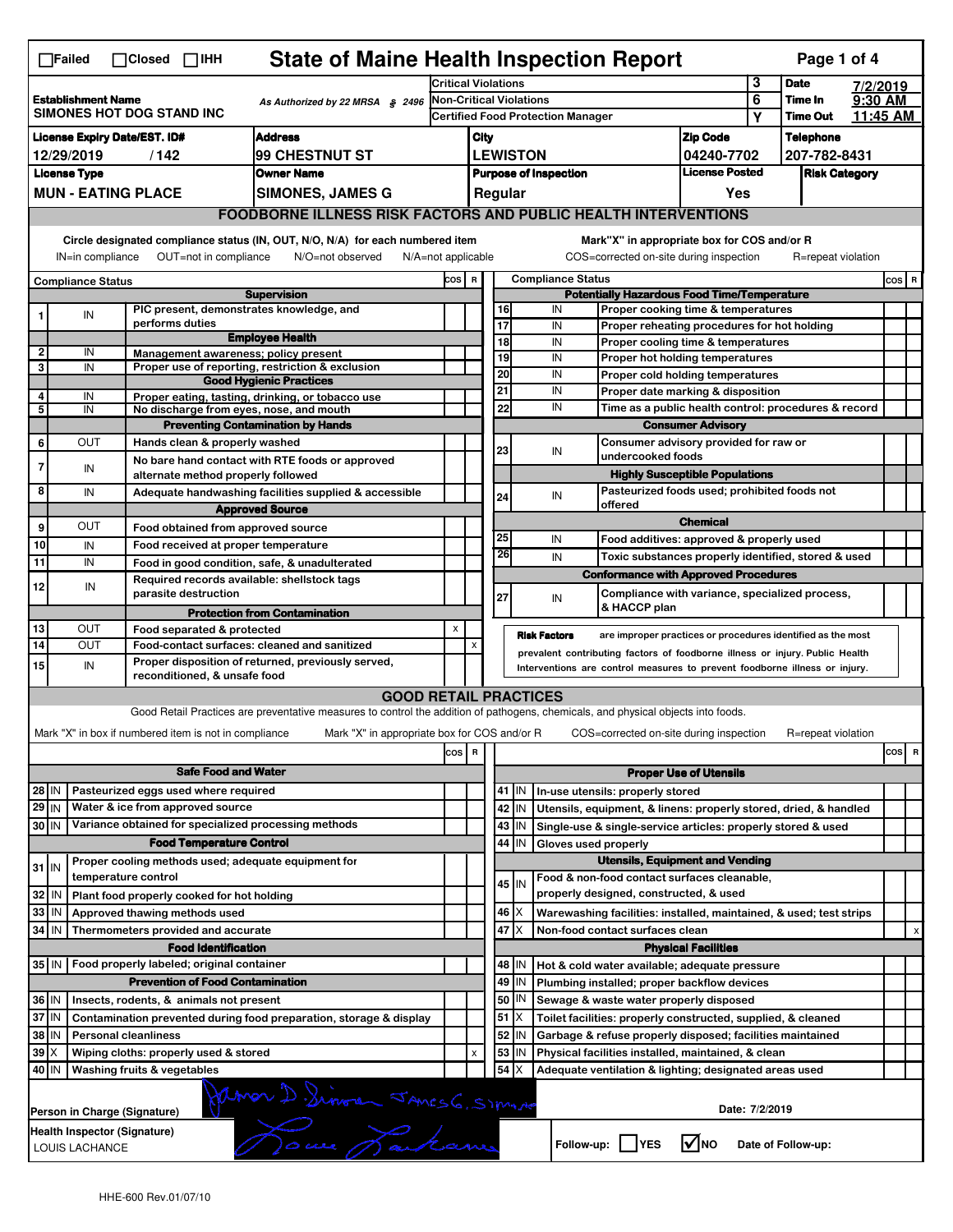| <b>State of Maine Health Inspection Report</b><br>Page 1 of 4<br>$\Box$ Failed<br>$\Box$ Closed $\Box$ IHH                                 |                                                                                                                                                                       |                                                                                                                                                                                         |                                                                          |                                                                                                                                   |     |                                                |                                                                                                      |                                                           |                                                                                                                                  |                                                                                           |                                  |                    |       |          |
|--------------------------------------------------------------------------------------------------------------------------------------------|-----------------------------------------------------------------------------------------------------------------------------------------------------------------------|-----------------------------------------------------------------------------------------------------------------------------------------------------------------------------------------|--------------------------------------------------------------------------|-----------------------------------------------------------------------------------------------------------------------------------|-----|------------------------------------------------|------------------------------------------------------------------------------------------------------|-----------------------------------------------------------|----------------------------------------------------------------------------------------------------------------------------------|-------------------------------------------------------------------------------------------|----------------------------------|--------------------|-------|----------|
|                                                                                                                                            |                                                                                                                                                                       |                                                                                                                                                                                         |                                                                          |                                                                                                                                   |     | Critical Violations                            |                                                                                                      |                                                           |                                                                                                                                  | 3                                                                                         | <b>Date</b>                      | 7/2/2019           |       |          |
| <b>Establishment Name</b><br>SIMONES HOT DOG STAND INC                                                                                     |                                                                                                                                                                       |                                                                                                                                                                                         | As Authorized by 22 MRSA § 2496                                          | <b>Non-Critical Violations</b><br>Certified Food Protection Manager                                                               |     |                                                |                                                                                                      |                                                           | 6<br>Υ                                                                                                                           | Time In<br><b>Time Out</b>                                                                | 9:30 AM                          | 11:45 AM           |       |          |
| <b>Address</b>                                                                                                                             |                                                                                                                                                                       |                                                                                                                                                                                         |                                                                          |                                                                                                                                   |     |                                                |                                                                                                      |                                                           |                                                                                                                                  |                                                                                           |                                  |                    |       |          |
| <b>License Expiry Date/EST. ID#</b><br>99 CHESTNUT ST<br>12/29/2019<br>/142                                                                |                                                                                                                                                                       |                                                                                                                                                                                         |                                                                          | City<br><b>LEWISTON</b>                                                                                                           |     |                                                |                                                                                                      |                                                           | Zip Code<br>04240-7702                                                                                                           |                                                                                           | <b>Telephone</b><br>207-782-8431 |                    |       |          |
| <b>License Type</b><br><b>Owner Name</b>                                                                                                   |                                                                                                                                                                       |                                                                                                                                                                                         |                                                                          |                                                                                                                                   |     |                                                |                                                                                                      |                                                           | <b>License Posted</b>                                                                                                            |                                                                                           | <b>Risk Category</b>             |                    |       |          |
|                                                                                                                                            |                                                                                                                                                                       | <b>MUN - EATING PLACE</b>                                                                                                                                                               |                                                                          | <b>SIMONES, JAMES G</b>                                                                                                           |     | <b>Purpose of Inspection</b><br>Yes<br>Regular |                                                                                                      |                                                           |                                                                                                                                  |                                                                                           |                                  |                    |       |          |
|                                                                                                                                            |                                                                                                                                                                       |                                                                                                                                                                                         |                                                                          | <b>FOODBORNE ILLNESS RISK FACTORS AND PUBLIC HEALTH INTERVENTIONS</b>                                                             |     |                                                |                                                                                                      |                                                           |                                                                                                                                  |                                                                                           |                                  |                    |       |          |
|                                                                                                                                            |                                                                                                                                                                       |                                                                                                                                                                                         |                                                                          |                                                                                                                                   |     |                                                |                                                                                                      |                                                           |                                                                                                                                  |                                                                                           |                                  |                    |       |          |
|                                                                                                                                            | Circle designated compliance status (IN, OUT, N/O, N/A) for each numbered item<br>OUT=not in compliance<br>IN=in compliance<br>N/O=not observed<br>N/A=not applicable |                                                                                                                                                                                         |                                                                          |                                                                                                                                   |     |                                                |                                                                                                      |                                                           | Mark"X" in appropriate box for COS and/or R<br>COS=corrected on-site during inspection                                           |                                                                                           |                                  | R=repeat violation |       |          |
| <b>Compliance Status</b>                                                                                                                   |                                                                                                                                                                       |                                                                                                                                                                                         |                                                                          | COS R                                                                                                                             |     |                                                |                                                                                                      | <b>Compliance Status</b>                                  |                                                                                                                                  |                                                                                           |                                  |                    | COS R |          |
|                                                                                                                                            |                                                                                                                                                                       |                                                                                                                                                                                         |                                                                          | <b>Supervision</b><br>PIC present, demonstrates knowledge, and                                                                    |     |                                                | <b>Potentially Hazardous Food Time/Temperature</b><br>16<br>IN<br>Proper cooking time & temperatures |                                                           |                                                                                                                                  |                                                                                           |                                  |                    |       |          |
|                                                                                                                                            | IN                                                                                                                                                                    |                                                                                                                                                                                         | performs duties                                                          |                                                                                                                                   |     |                                                | 17                                                                                                   |                                                           | IN<br>Proper reheating procedures for hot holding                                                                                |                                                                                           |                                  |                    |       |          |
|                                                                                                                                            |                                                                                                                                                                       |                                                                                                                                                                                         |                                                                          | <b>Employee Health</b>                                                                                                            |     |                                                | 18                                                                                                   |                                                           | IN<br>Proper cooling time & temperatures                                                                                         |                                                                                           |                                  |                    |       |          |
| 2<br>3                                                                                                                                     | IN<br>IN                                                                                                                                                              |                                                                                                                                                                                         |                                                                          | Management awareness; policy present<br>Proper use of reporting, restriction & exclusion                                          |     |                                                | 19                                                                                                   |                                                           | IN<br>Proper hot holding temperatures                                                                                            |                                                                                           |                                  |                    |       |          |
|                                                                                                                                            |                                                                                                                                                                       |                                                                                                                                                                                         |                                                                          | <b>Good Hygienic Practices</b>                                                                                                    |     |                                                | 20                                                                                                   |                                                           | IN<br>Proper cold holding temperatures                                                                                           |                                                                                           |                                  |                    |       |          |
| 4                                                                                                                                          | IN                                                                                                                                                                    |                                                                                                                                                                                         |                                                                          | Proper eating, tasting, drinking, or tobacco use                                                                                  |     |                                                | 21                                                                                                   |                                                           | IN                                                                                                                               | Proper date marking & disposition<br>Time as a public health control: procedures & record |                                  |                    |       |          |
| 5                                                                                                                                          | IN                                                                                                                                                                    |                                                                                                                                                                                         |                                                                          | No discharge from eyes, nose, and mouth                                                                                           |     |                                                | 22                                                                                                   |                                                           | IN                                                                                                                               |                                                                                           |                                  |                    |       |          |
|                                                                                                                                            |                                                                                                                                                                       |                                                                                                                                                                                         |                                                                          | <b>Preventing Contamination by Hands</b>                                                                                          |     |                                                |                                                                                                      |                                                           |                                                                                                                                  | <b>Consumer Advisory</b>                                                                  |                                  |                    |       |          |
| 6                                                                                                                                          | OUT                                                                                                                                                                   |                                                                                                                                                                                         | Hands clean & properly washed                                            | No bare hand contact with RTE foods or approved                                                                                   |     |                                                | 23                                                                                                   |                                                           | Consumer advisory provided for raw or<br>IN<br>undercooked foods                                                                 |                                                                                           |                                  |                    |       |          |
| 7                                                                                                                                          | IN                                                                                                                                                                    |                                                                                                                                                                                         | alternate method properly followed                                       |                                                                                                                                   |     |                                                |                                                                                                      |                                                           |                                                                                                                                  | <b>Highly Susceptible Populations</b>                                                     |                                  |                    |       |          |
| 8                                                                                                                                          | IN                                                                                                                                                                    |                                                                                                                                                                                         |                                                                          | Adequate handwashing facilities supplied & accessible                                                                             |     |                                                |                                                                                                      |                                                           | Pasteurized foods used; prohibited foods not<br>IN                                                                               |                                                                                           |                                  |                    |       |          |
|                                                                                                                                            |                                                                                                                                                                       |                                                                                                                                                                                         |                                                                          | <b>Approved Source</b>                                                                                                            |     |                                                | 24                                                                                                   |                                                           | offered                                                                                                                          |                                                                                           |                                  |                    |       |          |
| 9                                                                                                                                          | OUT                                                                                                                                                                   |                                                                                                                                                                                         | Food obtained from approved source                                       |                                                                                                                                   |     |                                                |                                                                                                      |                                                           |                                                                                                                                  | <b>Chemical</b>                                                                           |                                  |                    |       |          |
| 10                                                                                                                                         | IN                                                                                                                                                                    |                                                                                                                                                                                         | Food received at proper temperature                                      |                                                                                                                                   |     |                                                | 25                                                                                                   |                                                           | IN<br>Food additives: approved & properly used                                                                                   |                                                                                           |                                  |                    |       |          |
| 11                                                                                                                                         | IN                                                                                                                                                                    |                                                                                                                                                                                         |                                                                          | Food in good condition, safe, & unadulterated                                                                                     |     |                                                | 26                                                                                                   |                                                           | IN<br>Toxic substances properly identified, stored & used                                                                        |                                                                                           |                                  |                    |       |          |
|                                                                                                                                            |                                                                                                                                                                       |                                                                                                                                                                                         |                                                                          | Required records available: shellstock tags                                                                                       |     |                                                |                                                                                                      |                                                           | <b>Conformance with Approved Procedures</b>                                                                                      |                                                                                           |                                  |                    |       |          |
| 12                                                                                                                                         | IN                                                                                                                                                                    |                                                                                                                                                                                         | parasite destruction                                                     |                                                                                                                                   |     |                                                | 27                                                                                                   |                                                           | Compliance with variance, specialized process,<br>IN                                                                             |                                                                                           |                                  |                    |       |          |
|                                                                                                                                            |                                                                                                                                                                       |                                                                                                                                                                                         |                                                                          | <b>Protection from Contamination</b>                                                                                              |     |                                                |                                                                                                      |                                                           | & HACCP plan                                                                                                                     |                                                                                           |                                  |                    |       |          |
| 13                                                                                                                                         | OUT                                                                                                                                                                   |                                                                                                                                                                                         | Food separated & protected                                               |                                                                                                                                   | X   |                                                |                                                                                                      |                                                           | <b>Risk Factors</b><br>are improper practices or procedures identified as the most                                               |                                                                                           |                                  |                    |       |          |
| 14                                                                                                                                         | OUT                                                                                                                                                                   | Food-contact surfaces: cleaned and sanitized<br>X<br>prevalent contributing factors of foodborne illness or injury. Public Health<br>Proper disposition of returned, previously served, |                                                                          |                                                                                                                                   |     |                                                |                                                                                                      |                                                           |                                                                                                                                  |                                                                                           |                                  |                    |       |          |
| 15                                                                                                                                         | IN                                                                                                                                                                    |                                                                                                                                                                                         | reconditioned, & unsafe food                                             |                                                                                                                                   |     |                                                |                                                                                                      |                                                           | Interventions are control measures to prevent foodborne illness or injury.                                                       |                                                                                           |                                  |                    |       |          |
|                                                                                                                                            |                                                                                                                                                                       |                                                                                                                                                                                         |                                                                          | <b>GOOD RETAIL PRACTICES</b>                                                                                                      |     |                                                |                                                                                                      |                                                           |                                                                                                                                  |                                                                                           |                                  |                    |       |          |
|                                                                                                                                            |                                                                                                                                                                       |                                                                                                                                                                                         |                                                                          | Good Retail Practices are preventative measures to control the addition of pathogens, chemicals, and physical objects into foods. |     |                                                |                                                                                                      |                                                           |                                                                                                                                  |                                                                                           |                                  |                    |       |          |
|                                                                                                                                            |                                                                                                                                                                       |                                                                                                                                                                                         | Mark "X" in box if numbered item is not in compliance                    | Mark "X" in appropriate box for COS and/or R                                                                                      |     |                                                |                                                                                                      |                                                           | COS=corrected on-site during inspection                                                                                          |                                                                                           |                                  | R=repeat violation |       |          |
|                                                                                                                                            |                                                                                                                                                                       |                                                                                                                                                                                         |                                                                          |                                                                                                                                   |     | $\mathbf R$                                    |                                                                                                      |                                                           |                                                                                                                                  |                                                                                           |                                  |                    |       | cos<br>R |
|                                                                                                                                            |                                                                                                                                                                       |                                                                                                                                                                                         |                                                                          |                                                                                                                                   | cos |                                                |                                                                                                      |                                                           |                                                                                                                                  |                                                                                           |                                  |                    |       |          |
|                                                                                                                                            |                                                                                                                                                                       |                                                                                                                                                                                         | <b>Safe Food and Water</b>                                               |                                                                                                                                   |     |                                                | <b>Proper Use of Utensils</b><br>41 J IN                                                             |                                                           |                                                                                                                                  |                                                                                           |                                  |                    |       |          |
| 28 IN<br>29 IN                                                                                                                             |                                                                                                                                                                       |                                                                                                                                                                                         | Pasteurized eggs used where required<br>Water & ice from approved source |                                                                                                                                   |     |                                                | 42                                                                                                   |                                                           | In-use utensils: properly stored                                                                                                 |                                                                                           |                                  |                    |       |          |
| 30 IN                                                                                                                                      |                                                                                                                                                                       |                                                                                                                                                                                         |                                                                          | Variance obtained for specialized processing methods                                                                              |     |                                                |                                                                                                      | IN<br>43 IN                                               | Utensils, equipment, & linens: properly stored, dried, & handled<br>Single-use & single-service articles: properly stored & used |                                                                                           |                                  |                    |       |          |
|                                                                                                                                            |                                                                                                                                                                       |                                                                                                                                                                                         | <b>Food Temperature Control</b>                                          |                                                                                                                                   |     |                                                | 44                                                                                                   | IN                                                        | Gloves used properly                                                                                                             |                                                                                           |                                  |                    |       |          |
|                                                                                                                                            |                                                                                                                                                                       |                                                                                                                                                                                         |                                                                          | Proper cooling methods used; adequate equipment for                                                                               |     |                                                |                                                                                                      |                                                           | <b>Utensils, Equipment and Vending</b>                                                                                           |                                                                                           |                                  |                    |       |          |
| $31$ IN                                                                                                                                    |                                                                                                                                                                       | temperature control                                                                                                                                                                     |                                                                          |                                                                                                                                   |     |                                                |                                                                                                      |                                                           | Food & non-food contact surfaces cleanable,                                                                                      |                                                                                           |                                  |                    |       |          |
| 32 IN                                                                                                                                      |                                                                                                                                                                       |                                                                                                                                                                                         | Plant food properly cooked for hot holding                               |                                                                                                                                   |     |                                                |                                                                                                      | 45 IN                                                     | properly designed, constructed, & used                                                                                           |                                                                                           |                                  |                    |       |          |
| 33 IN                                                                                                                                      |                                                                                                                                                                       |                                                                                                                                                                                         | Approved thawing methods used                                            |                                                                                                                                   |     |                                                |                                                                                                      | $46 \mid X$                                               | Warewashing facilities: installed, maintained, & used; test strips                                                               |                                                                                           |                                  |                    |       |          |
| 34 IN                                                                                                                                      |                                                                                                                                                                       |                                                                                                                                                                                         | Thermometers provided and accurate                                       |                                                                                                                                   |     |                                                | 47                                                                                                   | ΙX                                                        | Non-food contact surfaces clean                                                                                                  |                                                                                           |                                  |                    |       | х        |
|                                                                                                                                            |                                                                                                                                                                       |                                                                                                                                                                                         | <b>Food Identification</b>                                               |                                                                                                                                   |     |                                                |                                                                                                      |                                                           |                                                                                                                                  | <b>Physical Facilities</b>                                                                |                                  |                    |       |          |
|                                                                                                                                            |                                                                                                                                                                       |                                                                                                                                                                                         | 35 IN   Food properly labeled; original container                        |                                                                                                                                   |     |                                                |                                                                                                      | 48   IN                                                   | Hot & cold water available; adequate pressure                                                                                    |                                                                                           |                                  |                    |       |          |
| <b>Prevention of Food Contamination</b>                                                                                                    |                                                                                                                                                                       |                                                                                                                                                                                         |                                                                          |                                                                                                                                   |     |                                                | 49 IN                                                                                                | Plumbing installed; proper backflow devices               |                                                                                                                                  |                                                                                           |                                  |                    |       |          |
| 36 IN<br>Insects, rodents, & animals not present                                                                                           |                                                                                                                                                                       |                                                                                                                                                                                         |                                                                          |                                                                                                                                   |     |                                                | 50 J IN                                                                                              | Sewage & waste water properly disposed                    |                                                                                                                                  |                                                                                           |                                  |                    |       |          |
| 37 IN<br>Contamination prevented during food preparation, storage & display                                                                |                                                                                                                                                                       |                                                                                                                                                                                         |                                                                          |                                                                                                                                   |     |                                                | 51                                                                                                   | ΙX                                                        | Toilet facilities: properly constructed, supplied, & cleaned                                                                     |                                                                                           |                                  |                    |       |          |
| 38   IN<br><b>Personal cleanliness</b>                                                                                                     |                                                                                                                                                                       |                                                                                                                                                                                         |                                                                          |                                                                                                                                   |     | 52                                             | IN                                                                                                   | Garbage & refuse properly disposed; facilities maintained |                                                                                                                                  |                                                                                           |                                  |                    |       |          |
| $39$ $\times$<br>Wiping cloths: properly used & stored                                                                                     |                                                                                                                                                                       |                                                                                                                                                                                         |                                                                          |                                                                                                                                   |     | x                                              | 53                                                                                                   | IN                                                        | Physical facilities installed, maintained, & clean                                                                               |                                                                                           |                                  |                    |       |          |
| 40   IN<br>Washing fruits & vegetables                                                                                                     |                                                                                                                                                                       |                                                                                                                                                                                         |                                                                          |                                                                                                                                   |     | 54                                             | X                                                                                                    | Adequate ventilation & lighting; designated areas used    |                                                                                                                                  |                                                                                           |                                  |                    |       |          |
|                                                                                                                                            | Date: 7/2/2019<br>Person in Charge (Signature)                                                                                                                        |                                                                                                                                                                                         |                                                                          |                                                                                                                                   |     |                                                |                                                                                                      |                                                           |                                                                                                                                  |                                                                                           |                                  |                    |       |          |
| Jamon D. Sinore Jancs 6, Simile<br>Health Inspector (Signature)<br>$\sqrt{ }$ NO<br>Follow-up: YES<br>Date of Follow-up:<br>LOUIS LACHANCE |                                                                                                                                                                       |                                                                                                                                                                                         |                                                                          |                                                                                                                                   |     |                                                |                                                                                                      |                                                           |                                                                                                                                  |                                                                                           |                                  |                    |       |          |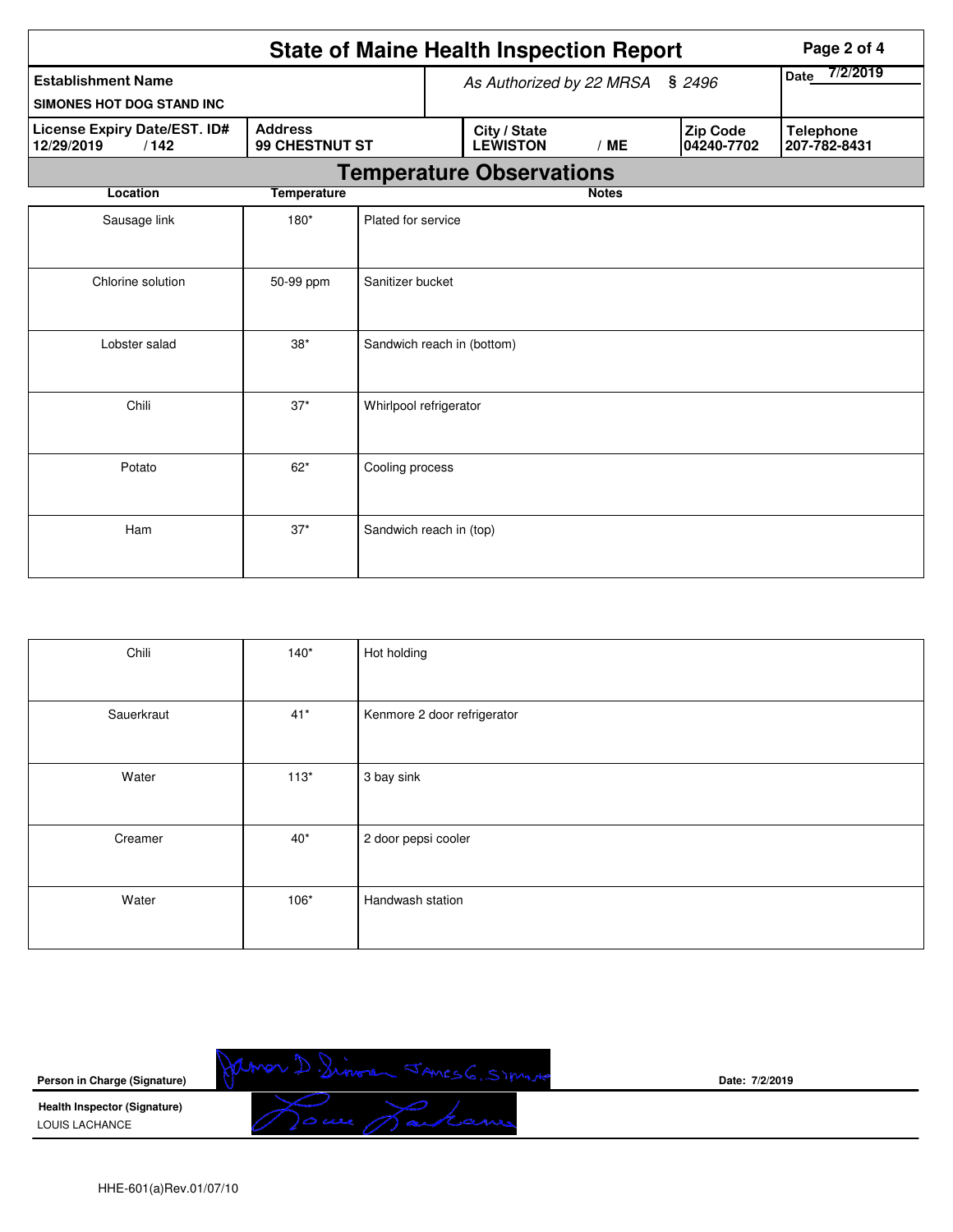|                                                                                        | Page 2 of 4        |                            |                                 |                                 |              |  |                               |                                  |  |  |
|----------------------------------------------------------------------------------------|--------------------|----------------------------|---------------------------------|---------------------------------|--------------|--|-------------------------------|----------------------------------|--|--|
| <b>Establishment Name</b>                                                              |                    |                            | As Authorized by 22 MRSA § 2496 |                                 |              |  | 7/2/2019<br><b>Date</b>       |                                  |  |  |
| SIMONES HOT DOG STAND INC                                                              |                    |                            |                                 |                                 |              |  |                               |                                  |  |  |
| License Expiry Date/EST. ID#<br><b>Address</b><br>99 CHESTNUT ST<br>12/29/2019<br>/142 |                    |                            |                                 | City / State<br><b>LEWISTON</b> | /ME          |  | <b>Zip Code</b><br>04240-7702 | <b>Telephone</b><br>207-782-8431 |  |  |
| <b>Temperature Observations</b>                                                        |                    |                            |                                 |                                 |              |  |                               |                                  |  |  |
| Location                                                                               | <b>Temperature</b> |                            |                                 |                                 | <b>Notes</b> |  |                               |                                  |  |  |
| Sausage link                                                                           | $180*$             | Plated for service         |                                 |                                 |              |  |                               |                                  |  |  |
| Chlorine solution                                                                      | 50-99 ppm          | Sanitizer bucket           |                                 |                                 |              |  |                               |                                  |  |  |
| Lobster salad                                                                          | $38*$              | Sandwich reach in (bottom) |                                 |                                 |              |  |                               |                                  |  |  |
| Chili                                                                                  | $37*$              | Whirlpool refrigerator     |                                 |                                 |              |  |                               |                                  |  |  |
| Potato                                                                                 | $62*$              | Cooling process            |                                 |                                 |              |  |                               |                                  |  |  |
| Ham                                                                                    | $37*$              | Sandwich reach in (top)    |                                 |                                 |              |  |                               |                                  |  |  |

| Chili      | $140*$ | Hot holding                 |
|------------|--------|-----------------------------|
| Sauerkraut | $41*$  | Kenmore 2 door refrigerator |
| Water      | $113*$ | 3 bay sink                  |
| Creamer    | $40*$  | 2 door pepsi cooler         |
| Water      | $106*$ | Handwash station            |

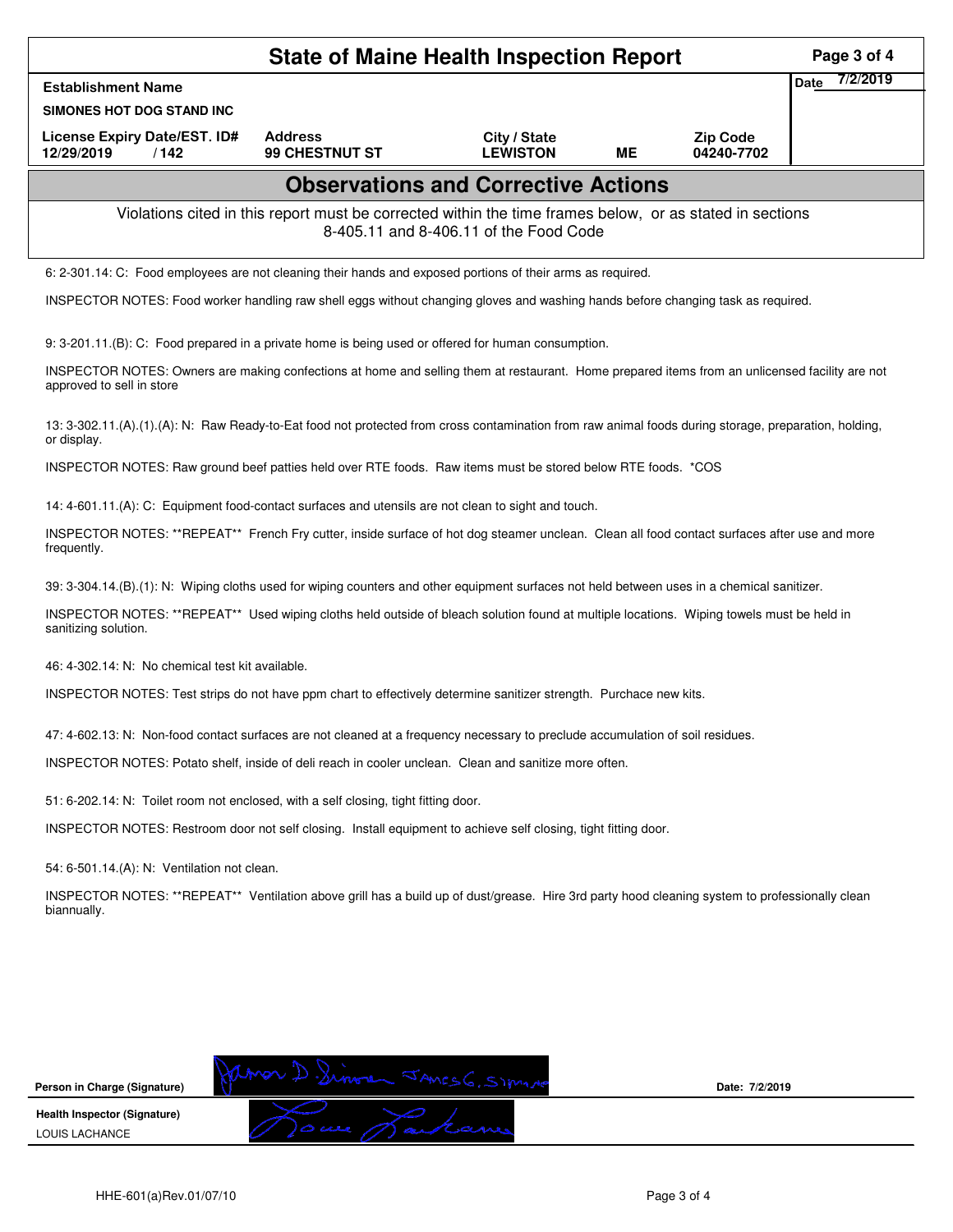|                                                                                                                                                                             | Page 3 of 4                      |                                 |    |                               |                         |  |  |  |  |  |  |
|-----------------------------------------------------------------------------------------------------------------------------------------------------------------------------|----------------------------------|---------------------------------|----|-------------------------------|-------------------------|--|--|--|--|--|--|
| <b>Establishment Name</b>                                                                                                                                                   |                                  |                                 |    |                               | 7/2/2019<br><b>Date</b> |  |  |  |  |  |  |
| SIMONES HOT DOG STAND INC                                                                                                                                                   |                                  |                                 |    |                               |                         |  |  |  |  |  |  |
| License Expiry Date/EST. ID#<br>12/29/2019<br>/142                                                                                                                          | <b>Address</b><br>99 CHESTNUT ST | City / State<br><b>LEWISTON</b> | ME | <b>Zip Code</b><br>04240-7702 |                         |  |  |  |  |  |  |
| <b>Observations and Corrective Actions</b>                                                                                                                                  |                                  |                                 |    |                               |                         |  |  |  |  |  |  |
| Violations cited in this report must be corrected within the time frames below, or as stated in sections<br>8-405.11 and 8-406.11 of the Food Code                          |                                  |                                 |    |                               |                         |  |  |  |  |  |  |
| 6: 2-301.14: C: Food employees are not cleaning their hands and exposed portions of their arms as required.                                                                 |                                  |                                 |    |                               |                         |  |  |  |  |  |  |
| INSPECTOR NOTES: Food worker handling raw shell eggs without changing gloves and washing hands before changing task as required.                                            |                                  |                                 |    |                               |                         |  |  |  |  |  |  |
| 9: 3-201.11.(B): C: Food prepared in a private home is being used or offered for human consumption.                                                                         |                                  |                                 |    |                               |                         |  |  |  |  |  |  |
| INSPECTOR NOTES: Owners are making confections at home and selling them at restaurant. Home prepared items from an unlicensed facility are not<br>approved to sell in store |                                  |                                 |    |                               |                         |  |  |  |  |  |  |
| 13: 3-302.11.(A).(1).(A): N: Raw Ready-to-Eat food not protected from cross contamination from raw animal foods during storage, preparation, holding,<br>or display.        |                                  |                                 |    |                               |                         |  |  |  |  |  |  |
| INSPECTOR NOTES: Raw ground beef patties held over RTE foods. Raw items must be stored below RTE foods. *COS                                                                |                                  |                                 |    |                               |                         |  |  |  |  |  |  |
| 14: 4-601.11.(A): C: Equipment food-contact surfaces and utensils are not clean to sight and touch.                                                                         |                                  |                                 |    |                               |                         |  |  |  |  |  |  |
| INSPECTOR NOTES: **REPEAT** French Fry cutter, inside surface of hot dog steamer unclean. Clean all food contact surfaces after use and more<br>frequently.                 |                                  |                                 |    |                               |                         |  |  |  |  |  |  |
| 39: 3-304.14.(B).(1): N: Wiping cloths used for wiping counters and other equipment surfaces not held between uses in a chemical sanitizer.                                 |                                  |                                 |    |                               |                         |  |  |  |  |  |  |
| INSPECTOR NOTES: **REPEAT** Used wiping cloths held outside of bleach solution found at multiple locations. Wiping towels must be held in<br>sanitizing solution.           |                                  |                                 |    |                               |                         |  |  |  |  |  |  |
| 46: 4-302.14: N: No chemical test kit available.                                                                                                                            |                                  |                                 |    |                               |                         |  |  |  |  |  |  |
| INSPECTOR NOTES: Test strips do not have ppm chart to effectively determine sanitizer strength. Purchace new kits.                                                          |                                  |                                 |    |                               |                         |  |  |  |  |  |  |
| 47: 4-602.13: N: Non-food contact surfaces are not cleaned at a frequency necessary to preclude accumulation of soil residues.                                              |                                  |                                 |    |                               |                         |  |  |  |  |  |  |
| INSPECTOR NOTES: Potato shelf, inside of deli reach in cooler unclean. Clean and sanitize more often.                                                                       |                                  |                                 |    |                               |                         |  |  |  |  |  |  |
| 51: 6-202.14: N: Toilet room not enclosed, with a self closing, tight fitting door.                                                                                         |                                  |                                 |    |                               |                         |  |  |  |  |  |  |
| INSPECTOR NOTES: Restroom door not self closing. Install equipment to achieve self closing, tight fitting door.                                                             |                                  |                                 |    |                               |                         |  |  |  |  |  |  |
| 54: 6-501.14.(A): N: Ventilation not clean.                                                                                                                                 |                                  |                                 |    |                               |                         |  |  |  |  |  |  |
| INSPECTOR NOTES: **REPEAT** Ventilation above grill has a build up of dust/grease. Hire 3rd party hood cleaning system to professionally clean<br>biannually.               |                                  |                                 |    |                               |                         |  |  |  |  |  |  |
|                                                                                                                                                                             |                                  |                                 |    |                               |                         |  |  |  |  |  |  |
|                                                                                                                                                                             |                                  |                                 |    |                               |                         |  |  |  |  |  |  |
|                                                                                                                                                                             |                                  |                                 |    |                               |                         |  |  |  |  |  |  |
| Person in Charge (Signature)                                                                                                                                                | mor D. Sinore JAMESG, SIMMO      |                                 |    | Date: 7/2/2019                |                         |  |  |  |  |  |  |
| <b>Health Inspector (Signature)</b><br>LOUIS LACHANCE                                                                                                                       |                                  |                                 |    |                               |                         |  |  |  |  |  |  |